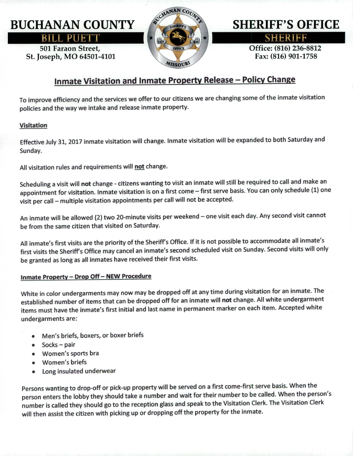## BUCHANAN COUNTY

**RILL PUETT** 

501 Faraon Street, St. Joseph, MO 64501-4101



# SHERIFF'S OFFICE

 $S$ HERIEE

Office: (816) 236-8812 Fax: (816) 901-1758

### Inmate Visitation and Inmate Property Release - Policy Change

To improve efficiency and the services we offer to our citizens we are changing some of the inmate visitation policies and the way we intake and release inmate property.

#### Visitation

Effective July 31,2017 inmate visitation will change. Inmate visitation will be expanded to both Saturday and Sunday.

All visitation rules and requirements will not change.

Scheduling a visit will not change - citizens wanting to visit an inmate will still be required to call and make an appointment for visitation. Inmate visitation is on a first come - first serve basis. You can only schedule (1) one visit per call- multiple visitation appointments per call will not be accepted.

An inmate will be allowed (2) two 20-minute visits per weekend - one visit each day. Any second visit cannot be from the same citizen that visited on Saturday.

All inmate's first visits are the priority of the Sheriff's Office. If it is not possible to accommodate all inmate's first visits the Sheriff's Office may cancel an inmate's second scheduled visit on Sunday. Second visits will only be granted as long as all inmates have received their first visits.

#### Inmate Property - Drop Off - NEW Procedure

White in color undergarments may now may be dropped off at any time during visitation for an inmate. The established number of items that can be dropped off for an inmate will not change. All white undergarment items must have the inmate's first initial and last name in permanent marker on each item. Accepted white undergarments are:

- Men's briefs, boxers, or boxer briefs
- Socks pair
- Women's sports bra
- Women's briefs
- Long insulated underwear

Persons wanting to drop-off or pick-up property will be served on a first come-first serve basis. When the person enters the lobby they should take a number and wait for their number to be called. When the person's number is called they should go to the reception glass and speak to the Visitation Clerk. The Visitation Clerk will then assist the citizen with picking up or dropping off the property for the inmate.